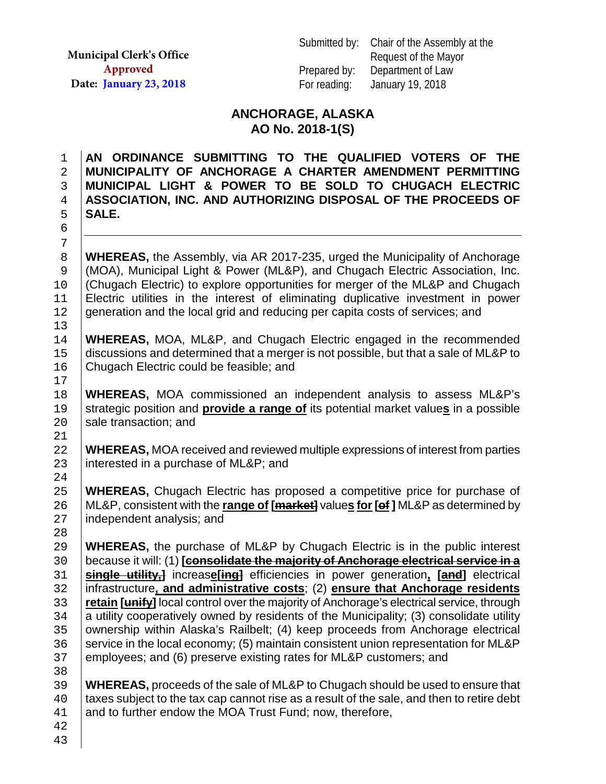**Municipal Clerk's Office Approved Date: January 23, 2018**

### **ANCHORAGE, ALASKA AO No. 2018-1(S)**

**AN ORDINANCE SUBMITTING TO THE QUALIFIED VOTERS OF THE MUNICIPALITY OF ANCHORAGE A CHARTER AMENDMENT PERMITTING MUNICIPAL LIGHT & POWER TO BE SOLD TO CHUGACH ELECTRIC ASSOCIATION, INC. AND AUTHORIZING DISPOSAL OF THE PROCEEDS OF**  5 **SALE.**  6

8 **WHEREAS,** the Assembly, via AR 2017-235, urged the Municipality of Anchorage (MOA), Municipal Light & Power (ML&P), and Chugach Electric Association, Inc. 9 (MOA), Municipal Light & Power (ML&P), and Chugach Electric Association, Inc. 10 (Chugach Electric) to explore opportunities for merger of the ML&P and Chugach<br>11 Electric utilities in the interest of eliminating duplicative investment in power 11 Electric utilities in the interest of eliminating duplicative investment in power<br>12 generation and the local grid and reducing per capita costs of services; and generation and the local grid and reducing per capita costs of services; and

13<br>14 14 **WHEREAS,** MOA, ML&P, and Chugach Electric engaged in the recommended<br>15 discussions and determined that a merger is not possible, but that a sale of ML&P to 15 discussions and determined that a merger is not possible, but that a sale of ML&P to 16 Chugach Electric could be feasible; and 16 Chugach Electric could be feasible; and

18 **WHEREAS,** MOA commissioned an independent analysis to assess ML&P's strategic position and **provide a range of** its potential market values in a possible 19 strategic position and **provide a range of** its potential market values in a possible sale transaction; and sale transaction; and

22 **WHEREAS,** MOA received and reviewed multiple expressions of interest from parties <br>23 interested in a purchase of ML&P; and interested in a purchase of ML&P; and

 $\frac{24}{25}$ 25 **WHEREAS,** Chugach Electric has proposed a competitive price for purchase of <br>26 ML&P, consistent with the **range of [<del>market]</del> values for [ef]** ML&P as determined by 26 ML&P, consistent with the **range of [market]** value**s for[of ]** ML&P as determined by independent analysis; and

28<br>29 29 **WHEREAS,** the purchase of ML&P by Chugach Electric is in the public interest 30 **because it will:** (1) **[consolidate the majority of Anchorage electrical service in a** 30 because it will: (1) **[consolidate the majority of Anchorage electrical service in a**  31 **single utility,]** increas**e[ing]** efficiencies in power generation**, [and]** electrical 32 infrastructure**, and administrative costs**; (2) **ensure that Anchorage residents**  33 **retain [unify]** local control over the majority of Anchorage's electrical service, through<br>34 a utility cooperatively owned by residents of the Municipality: (3) consolidate utility a utility cooperatively owned by residents of the Municipality; (3) consolidate utility 35 | ownership within Alaska's Railbelt; (4) keep proceeds from Anchorage electrical<br>36 | service in the local economy: (5) maintain consistent union representation for ML&P 36 service in the local economy; (5) maintain consistent union representation for ML&P<br>37 employees; and (6) preserve existing rates for ML&P customers; and 37 employees; and (6) preserve existing rates for ML&P customers; and

38<br>39 39 **WHEREAS,** proceeds of the sale of ML&P to Chugach should be used to ensure that 40 at taxes subject to the tax cap cannot rise as a result of the sale, and then to retire debt 40  $\parallel$  taxes subject to the tax cap cannot rise as a result of the sale, and then to retire debt  $\parallel$  and to further endow the MOA Trust Fund; now, therefore, and to further endow the MOA Trust Fund; now, therefore,

42 43

7

17

21<br>22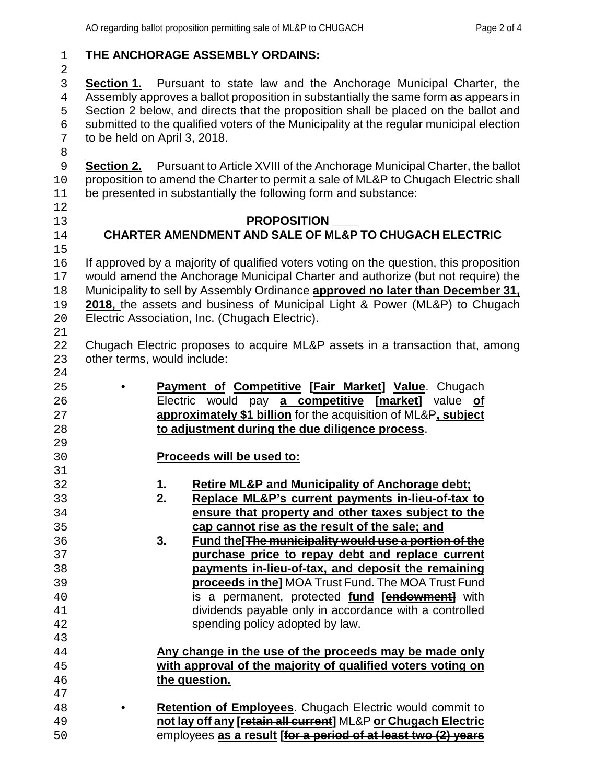## 1 **THE ANCHORAGE ASSEMBLY ORDAINS:**

**Section 1.** Pursuant to state law and the Anchorage Municipal Charter, the <br>4 Assembly approves a ballot proposition in substantially the same form as appears in 4 Assembly approves a ballot proposition in substantially the same form as appears in<br>5 Section 2 below, and directs that the proposition shall be placed on the ballot and 5 Section 2 below, and directs that the proposition shall be placed on the ballot and<br>6 submitted to the qualified voters of the Municipality at the regular municipal election 6 submitted to the qualified voters of the Municipality at the regular municipal election  $\frac{7}{10}$  to be held on April 3. 2018. to be held on April 3, 2018.

**Section 2.** Pursuant to Article XVIII of the Anchorage Municipal Charter, the ballot 10 proposition to amend the Charter to permit a sale of ML&P to Chugach Electric shall 11 be presented in substantially the following form and substance:

#### 13 **PROPOSITION**<br>14 **CHARTER AMENDMENT AND SALE OF MI** 14 **CHARTER AMENDMENT AND SALE OF ML&P TO CHUGACH ELECTRIC**

16 If approved by a majority of qualified voters voting on the question, this proposition 17 would amend the Anchorage Municipal Charter and authorize (but not require) the 17 would amend the Anchorage Municipal Charter and authorize (but not require) the 18 Municipality to sell by Assembly Ordinance **approved no later than December 31.** 18 Municipality to sell by Assembly Ordinance **approved no later than December 31, 2018**, the assets and business of Municipal Light & Power (ML&P) to Chugach 19 **2018,** the assets and business of Municipal Light & Power (ML&P) to Chugach Electric Association, Inc. (Chugach Electric).

22 Chugach Electric proposes to acquire ML&P assets in a transaction that, among 23 other terms, would include: other terms, would include:

• **Payment of Competitive [Fair Market] Value**. Chugach Electric would pay **a competitive [market]** value **of approximately \$1 billion** for the acquisition of ML&P**, subject to adjustment during the due diligence process**.

## 30 **Proceeds will be used to:**

- 32 **1. Retire ML&P and Municipality of Anchorage debt;**
- 33 **2. Replace ML&P's current payments in-lieu-of-tax to** 34 **ensure that property and other taxes subject to the**<br>35 **explorer to the cap cannot rise as the result of the sale; and cap cannot rise as the result of the sale; and**<br>3. Fund the **The municipality would use a portion**
- 36 **3. Fund the[The municipality would use a portion of the** 37 **purchase price to repay debt and replace current** 38 **payments in-lieu-of-tax, and deposit the remaining**  39 **proceeds in the]** MOA Trust Fund. The MOA Trust Fund 40 is a permanent, protected **fund [endowment]** with dividends payable only in accordance with a controlled 42 **Fig. 2.** Spending policy adopted by law.

#### 44 **Any change in the use of the proceeds may be made only**  45 **with approval of the majority of qualified voters voting on**  the question.

47 • **Retention of Employees**. Chugach Electric would commit to **not lay off any [retain all current]** ML&P **or Chugach Electric** employees **as a result [for a period of at least two (2) years**

24<br>25

29<br>30

31<br>32

43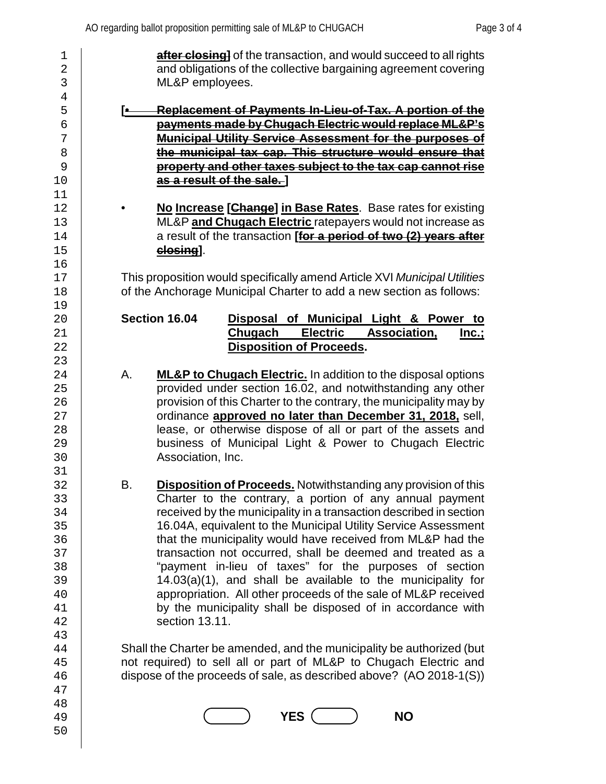| 1              | after closing] of the transaction, and would succeed to all rights             |
|----------------|--------------------------------------------------------------------------------|
| $\overline{2}$ | and obligations of the collective bargaining agreement covering                |
| $\mathbf{3}$   | ML&P employees.                                                                |
| $\,4$          |                                                                                |
| 5              | <b>Replacement of Payments In-Lieu-of-Tax. A portion of the</b><br>[e_         |
| б              | payments made by Chugach Electric would replace ML&P's                         |
| 7              | Municipal Utility Service Assessment for the purposes of                       |
| 8              | the municipal tax cap. This structure would ensure that                        |
| 9              | property and other taxes subject to the tax cap cannot rise                    |
| 10             | as a result of the sale.]                                                      |
| 11             |                                                                                |
| 12             | No Increase [Change] in Base Rates. Base rates for existing                    |
| 13             | ML&P and Chugach Electric ratepayers would not increase as                     |
| 14             | a result of the transaction [for a period of two (2) years after               |
| 15             | closing].                                                                      |
| 16             |                                                                                |
| 17             | This proposition would specifically amend Article XVI Municipal Utilities      |
| 18             | of the Anchorage Municipal Charter to add a new section as follows:            |
| 19             |                                                                                |
| 20             | Section 16.04<br>Disposal of Municipal Light & Power to                        |
| 21             | <b>Electric</b><br><b>Chugach</b><br><b>Association,</b><br><u>lnc.;</u>       |
| 22             | <b>Disposition of Proceeds.</b>                                                |
| 23             |                                                                                |
| 24             | А.<br><b>ML&amp;P to Chugach Electric.</b> In addition to the disposal options |
| 25             | provided under section 16.02, and notwithstanding any other                    |
| 26             | provision of this Charter to the contrary, the municipality may by             |
| 27             | ordinance approved no later than December 31, 2018, sell,                      |
| 28             | lease, or otherwise dispose of all or part of the assets and                   |
| 29             | business of Municipal Light & Power to Chugach Electric                        |
| 30             | Association, Inc.                                                              |
| 31             |                                                                                |
| 32             | В.<br><b>Disposition of Proceeds.</b> Notwithstanding any provision of this    |
| 33             | Charter to the contrary, a portion of any annual payment                       |
| 34             | received by the municipality in a transaction described in section             |
| 35             | 16.04A, equivalent to the Municipal Utility Service Assessment                 |
| 36             | that the municipality would have received from ML&P had the                    |
| 37             | transaction not occurred, shall be deemed and treated as a                     |
| 38             | "payment in-lieu of taxes" for the purposes of section                         |
| 39             | $14.03(a)(1)$ , and shall be available to the municipality for                 |
| 40             | appropriation. All other proceeds of the sale of ML&P received                 |
| 41             | by the municipality shall be disposed of in accordance with                    |
| 42             | section 13.11.                                                                 |
| 43             |                                                                                |
| 44             | Shall the Charter be amended, and the municipality be authorized (but          |
| 45             | not required) to sell all or part of ML&P to Chugach Electric and              |
| 46             | dispose of the proceeds of sale, as described above? (AO 2018-1(S))            |
| 47             |                                                                                |
| 48             |                                                                                |
| 49             | <b>YES</b><br><b>NO</b>                                                        |
| 50             |                                                                                |
|                |                                                                                |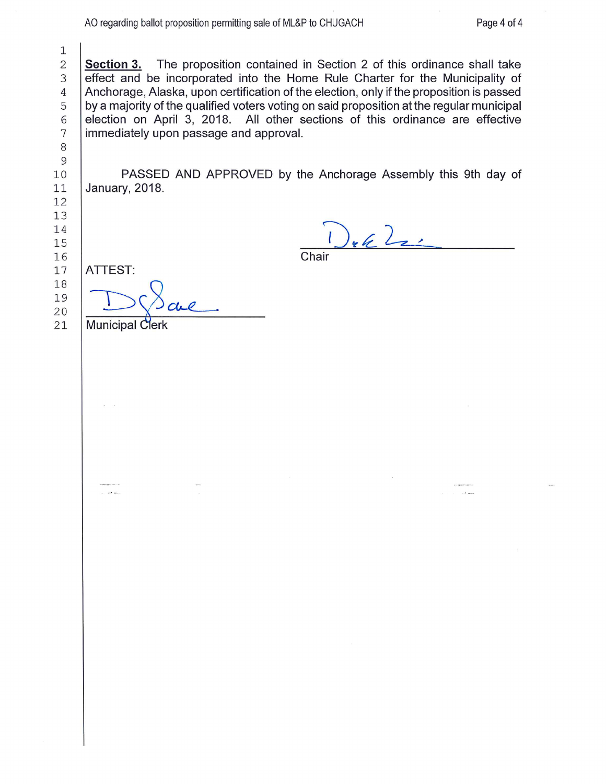**Section 3.** The proposition contained in Section 2 of this ordinance shall take effect and be incorporated into the Home Rule Charter for the Municipality of 3 Anchorage, Alaska, upon certification of the election, only if the proposition is passed 4 5 by a majority of the qualified voters voting on said proposition at the regular municipal election on April 3, 2018. All other sections of this ordinance are effective 6 immediately upon passage and approval.  $\overline{7}$ 

PASSED AND APPROVED by the Anchorage Assembly this 9th day of January, 2018.

 $\int_{\mathfrak{k}}\int_{\mathcal{L}}\frac{1}{\sqrt{2}}$ 

Chair

**ATTEST:** 

20

21

15

 $\mathbf 1$  $\mathbf{2}$ 

8 9  $10$ 

**Municipal Clerk**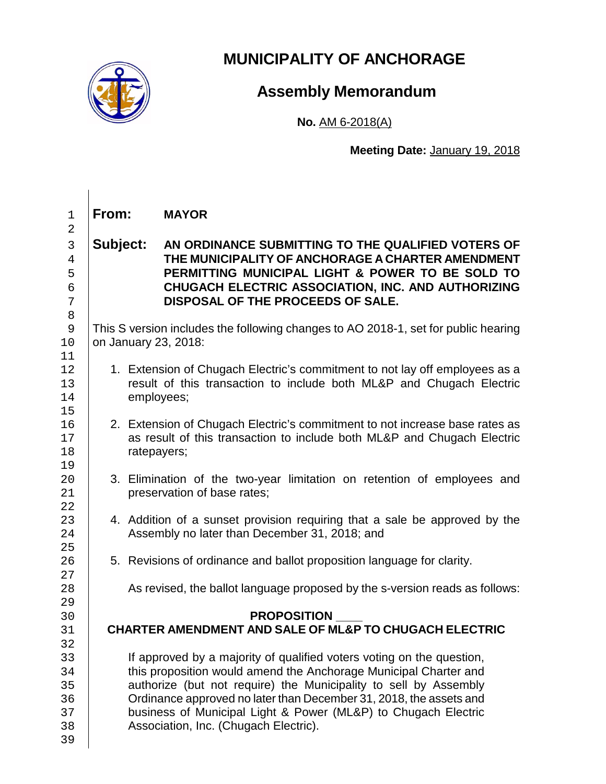

# **MUNICIPALITY OF ANCHORAGE**

## **Assembly Memorandum**

**No.** AM 6-2018(A)

**Meeting Date:** January 19, 2018

1 **From: MAYOR** 2 3 **Subject: AN ORDINANCE SUBMITTING TO THE QUALIFIED VOTERS OF**  4 **THE MUNICIPALITY OF ANCHORAGE A CHARTER AMENDMENT**  5 **PERMITTING MUNICIPAL LIGHT & POWER TO BE SOLD TO**  6 **CHUGACH ELECTRIC ASSOCIATION, INC. AND AUTHORIZING**  7 **DISPOSAL OF THE PROCEEDS OF SALE.** 8 9 This S version includes the following changes to AO 2018-1, set for public hearing<br>10 on January 23, 2018: on January 23, 2018: 11<br>12 12 1. Extension of Chugach Electric's commitment to not lay off employees as a<br>13 result of this transaction to include both ML&P and Chugach Electric 13 result of this transaction to include both ML&P and Chugach Electric<br>14 employees: employees; 15<br>16 2. Extension of Chugach Electric's commitment to not increase base rates as<br>17 as result of this transaction to include both ML&P and Chugach Electric 17 as result of this transaction to include both ML&P and Chugach Electric<br>18 Tatepayers: ratepayers; 19<br>20 20 3. Elimination of the two-year limitation on retention of employees and<br>21 **1** Dependence of base rates: preservation of base rates; 22 23 4. Addition of a sunset provision requiring that a sale be approved by the 24 Assembly no later than December 31, 2018; and Assembly no later than December 31, 2018; and  $\frac{25}{26}$ 5. Revisions of ordinance and ballot proposition language for clarity.  $\frac{27}{28}$ As revised, the ballot language proposed by the s-version reads as follows: 29<br>30 30 **PROPOSITION \_\_\_\_** 31 **CHARTER AMENDMENT AND SALE OF ML&P TO CHUGACH ELECTRIC** 32<br>33 33 If approved by a majority of qualified voters voting on the question,<br>34 If this proposition would amend the Anchorage Municipal Charter and 34 this proposition would amend the Anchorage Municipal Charter and<br>35 authorize (but not require) the Municipality to sell by Assembly 35 authorize (but not require) the Municipality to sell by Assembly<br>36 Crdinance approved no later than December 31, 2018, the assets and 36 **Ordinance approved no later than December 31, 2018, the assets and 37** business of Municipal Light & Power (ML&P) to Chugach Electric 37 business of Municipal Light & Power (ML&P) to Chugach Electric<br>38 Association. Inc. (Chugach Electric). Association, Inc. (Chugach Electric). 39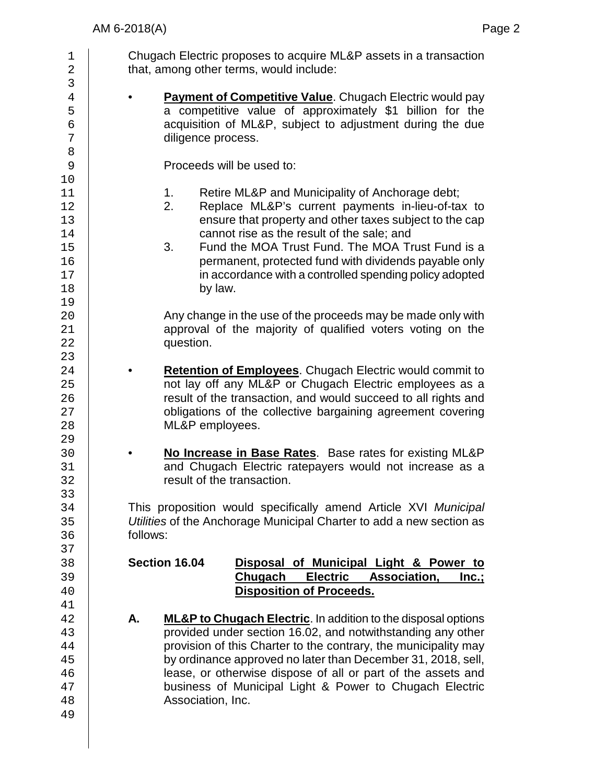1 Chugach Electric proposes to acquire ML&P assets in a transaction<br>2 that, among other terms, would include: 2 that, among other terms, would include: 3<br>4 4 **• Payment of Competitive Value**. Chugach Electric would pay<br>5 **• Competitive value of approximately \$1 billion for the** 5 a competitive value of approximately \$1 billion for the sacquisition of ML&P, subject to adjustment during the due 6 acquisition of ML&P, subject to adjustment during the due<br>
diligence process. diligence process. 8<br>9 Proceeds will be used to: 10<br>11 11 1. Retire ML&P and Municipality of Anchorage debt;<br>12 1. Replace ML&P's current payments in-lieu-of-ta 12 2. Replace ML&P's current payments in-lieu-of-tax to<br>13 ensure that property and other taxes subiect to the cap 13 ensure that property and other taxes subject to the cap<br>14 cannot rise as the result of the sale: and 14 cannot rise as the result of the sale; and<br>15 3. Fund the MOA Trust Fund. The MOA Tr 15 3. Fund the MOA Trust Fund. The MOA Trust Fund is a<br>16 16 16 merrimanent, protected fund with dividends payable only 16 permanent, protected fund with dividends payable only<br>17 in accordance with a controlled spending policy adopted 17 in accordance with a controlled spending policy adopted<br>18 by law. 19<br>20 Any change in the use of the proceeds may be made only with 21 approval of the majority of qualified voters voting on the<br>22 **and Struth** question.  $\frac{23}{24}$ 24 **• Retention of Employees**. Chugach Electric would commit to<br>25 **• Chugach Electric employees** as a 25 not lay off any ML&P or Chugach Electric employees as a<br>26 not lay of the transaction, and would succeed to all rights and 26 **result of the transaction, and would succeed to all rights and <br>27 cobligations of the collective bargaining agreement covering** 27 cobligations of the collective bargaining agreement covering<br>28 ML&P emplovees. ML&P employees. 29<br>30 30 • **No Increase in Base Rates**. Base rates for existing ML&P 31 and Chugach Electric ratepayers would not increase as a<br>32 result of the transaction. result of the transaction. 33<br>34 34 This proposition would specifically amend Article XVI *Municipal*  35 *Utilities* of the Anchorage Municipal Charter to add a new section as follows: 37<br>38 38 **Section 16.04 Disposal of Municipal Light & Power to**  39 **Chugach Electric Association,**<br>40 **Chugach Electric Association,** 40 **Disposition of Proceeds.**   $\frac{41}{42}$ 42 **A.** ML&P to Chugach Electric. In addition to the disposal options<br>43 **A.** provided under section 16.02, and notwithstanding any other 43 provided under section 16.02, and notwithstanding any other<br>44 provision of this Charter to the contrary, the municipality may 44 provision of this Charter to the contrary, the municipality may<br>45 by ordinance approved no later than December 31, 2018, sell. 45 by ordinance approved no later than December 31, 2018, sell,<br>46 ease, or otherwise dispose of all or part of the assets and 46 lease, or otherwise dispose of all or part of the assets and<br>47 business of Municipal Light & Power to Chugach Electric business of Municipal Light & Power to Chugach Electric 48 Association, Inc. 49